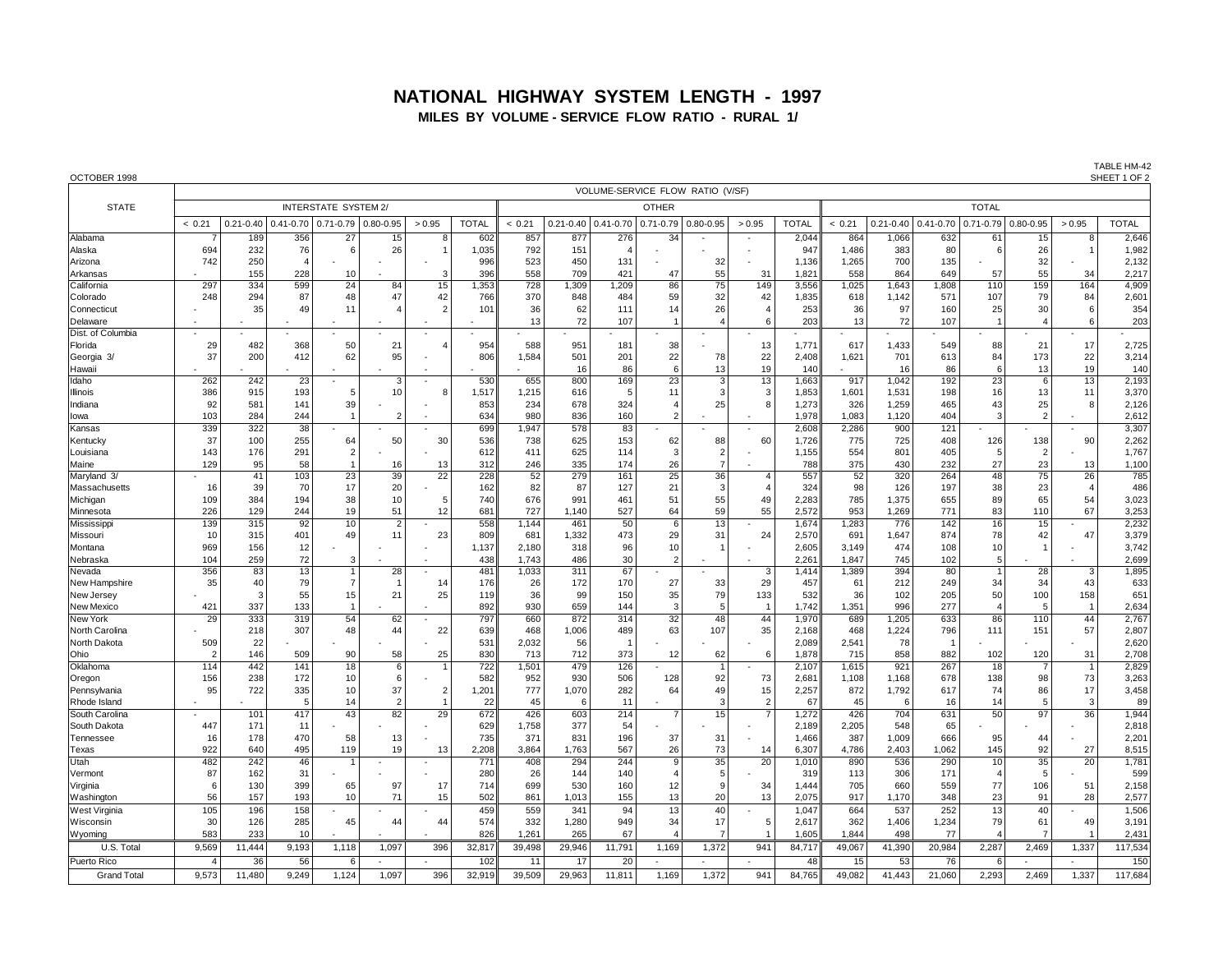## **NATIONAL HIGHWAY SYSTEM LENGTH - 1997 MILES BY VOLUME - SERVICE FLOW RATIO - RURAL 1/**

OCTOBER 1998 SHEET 1 OF 2

TABLE HM-42<br>SHEET 1 OF 2

|                              |                |               |                         |                      |                |                 |              |                 |               |                | VOLUME-SERVICE FLOW RATIO (V/SF) |                |                |                |              |                |               |                          |                |                |                |  |  |
|------------------------------|----------------|---------------|-------------------------|----------------------|----------------|-----------------|--------------|-----------------|---------------|----------------|----------------------------------|----------------|----------------|----------------|--------------|----------------|---------------|--------------------------|----------------|----------------|----------------|--|--|
| <b>STATE</b>                 |                |               |                         | INTERSTATE SYSTEM 2/ |                |                 |              | <b>OTHER</b>    |               |                |                                  |                |                |                |              | <b>TOTAL</b>   |               |                          |                |                |                |  |  |
|                              | < 0.21         | $0.21 - 0.40$ | $0.41 - 0.70$           | $0.71 - 0.79$        | $0.80 - 0.95$  | > 0.95          | <b>TOTAL</b> | < 0.21          | $0.21 - 0.40$ | $0.41 - 0.70$  | $0.71 - 0.79$                    | $0.80 - 0.95$  | > 0.95         | <b>TOTAL</b>   | < 0.21       | $0.21 - 0.40$  | $0.41 - 0.70$ | $0.71 - 0.79$            | 0.80-0.95      | > 0.95         | <b>TOTAL</b>   |  |  |
| Alabama                      |                | 189           | 356                     | $\overline{27}$      | 15             | 8               | 602          | 857             | 877           | 276            | $\overline{34}$                  |                |                | 2,044          | 864          | 1,066          | 632           | 61                       | 15             | 8              | 2,646          |  |  |
| Alaska                       | 694            | 232           | 76                      | 6                    | 26             |                 | 1.035        | 792             | 151           | $\overline{4}$ |                                  |                |                | 947            | 1,486        | 383            | 80            | 6                        | 26             | $\overline{1}$ | 1,982          |  |  |
| Arizona                      | 742            | 250           | $\overline{\mathbf{4}}$ |                      |                |                 | 996          | 523             | 450           | 131            |                                  | 32             |                | 1,136          | 1,265        | 700            | 135           |                          | 32             |                | 2,132          |  |  |
| Arkansas                     |                | 155           | 228                     | 10                   |                | 3               | 396          | 558             | 709           | 421            | 47                               | 55             | 31             | 1,821          | 558          | 864            | 649           | 57                       | 55             | 34             | 2,217          |  |  |
| California                   | 297            | 334           | 599                     | 24                   | 84             | 15              | 1,353        | 728             | 1,309         | 1,209          | 86                               | 75             | 149            | 3,556          | 1,025        | 1,643          | 1,808         | 110                      | 159            | 164            | 4,909          |  |  |
| Colorado                     | 248            | 294           | 87                      | 48                   | 47             | 42              | 766          | 370             | 848           | 484            | 59                               | 32             | 42             | 1,835          | 618          | 1,142          | 571           | 107                      | 79             | 84             | 2,601          |  |  |
| Connecticut                  |                | 35            | 49                      | 11                   | 4              | $\overline{2}$  | 101          | 36              | 62            | 111            | 14                               | 26             |                | 253            | 36           | 97             | 160           | 25                       | 30             | 6              | 354            |  |  |
| Delaware                     |                |               |                         | ٠                    |                |                 |              | 13              | 72            | 107            | $\overline{1}$                   | $\overline{4}$ | 6              | 203            | 13           | 72             | 107           | -1                       | $\overline{4}$ | 6              | 203            |  |  |
| Dist. of Columbia            |                |               |                         |                      |                |                 |              |                 |               |                |                                  |                |                |                |              |                |               |                          |                |                |                |  |  |
| Florida                      | 29             | 482           | 368                     | 50                   | 21             |                 | 954          | 588             | 951           | 181            | 38                               |                | 13             | 1,771          | 617          | 1,433          | 549           | 88                       | 21             | 17             | 2,725          |  |  |
| Georgia 3/                   | 37             | 200           | 412                     | 62                   | 95             |                 | 806          | 1.584           | 501           | 201            | 22                               | 78             | 22             | 2.408          | 1,621        | 701            | 613           | 84                       | 173            | 22             | 3,214          |  |  |
| Hawaii<br>Idaho              | 262            | 242           | 23                      | $\ddot{\phantom{1}}$ | 3              |                 | 530          | 655             | 16<br>800     | 86<br>169      | 6<br>$\overline{23}$             | 13<br>3        | 19<br>13       | 140<br>1,663   | 917          | 16<br>1,042    | 86<br>192     | 6<br>$\overline{23}$     | 13<br>6        | 19<br>13       | 140<br>2,193   |  |  |
| Illinois                     | 386            | 915           | 193                     | 5                    | 10             |                 | 1,517        | 1,215           | 616           | 5              | 11                               | 3              |                | 1,853          | 1,601        | 1,531          | 198           | 16                       | 13             | 11             | 3,370          |  |  |
| Indiana                      | 92             | 581           | 141                     | 39                   |                |                 | 853          | 234             | 678           | 324            | 4                                | 25             | R              | 1,273          | 326          | 1,259          | 465           | 43                       | 25             | 8              | 2,126          |  |  |
| lowa                         | 103            | 284           | 244                     | $\overline{1}$       | $\overline{2}$ |                 | 634          | 980             | 836           | 160            | $\overline{2}$                   |                |                | 1,978          | 1,083        | 1,120          | 404           | 3                        | $\overline{2}$ |                | 2,612          |  |  |
| Kansas                       | 339            | 322           | 38                      |                      |                |                 | 699          | 1,947           | 578           | 83             |                                  |                |                | 2,608          | 2,286        | 900            | 121           |                          |                |                | 3,307          |  |  |
| Kentucky                     | 37             | 100           | 255                     | 64                   | 50             | 30              | 536          | 738             | 625           | 153            | 62                               | 88             | 60             | 1,726          | 775          | 725            | 408           | 126                      | 138            | 90             | 2,262          |  |  |
| Louisiana                    | 143            | 176           | 291                     | 2                    |                |                 | 612          | 411             | 625           | 114            | 3                                | 2              |                | 1,155          | 554          | 801            | 405           | 5                        | $\overline{2}$ |                | 1,767          |  |  |
| Maine                        | 129            | 95            | 58                      |                      | 16             | 13              | 312          | 246             | 335           | 174            | 26                               | $\overline{7}$ |                | 788            | 375          | 430            | 232           | 27                       | 23             | 13             | 1,100          |  |  |
| Maryland 3/                  |                | 41            | 103                     | 23                   | 39             | $\overline{22}$ | 228          | $\overline{52}$ | 279           | 161            | 25                               | 36             | $\overline{4}$ | 557            | 52           | 320            | 264           | 48                       | 75             | 26             | 785            |  |  |
| Massachusetts                | 16             | 39            | 70                      | 17                   | 20             |                 | 162          | 82              | 87            | 127            | 21                               | 3              |                | 324            | 98           | 126            | 197           | 38                       | 23             | $\overline{4}$ | 486            |  |  |
| Michigan                     | 109            | 384           | 194                     | 38                   | 10             | 5               | 740          | 676             | 991           | 461            | 51                               | 55             | 49             | 2,283          | 785          | 1,375          | 655           | 89                       | 65             | 54             | 3,023          |  |  |
| Minnesota                    | 226            | 129           | 244                     | 19                   | 51             | 12              | 681          | 727             | 1,140         | 527            | 64                               | 59             | 55             | 2,572          | 953          | 1,269          | 771           | 83                       | 110            | 67             | 3,253          |  |  |
| Mississipp                   | 139            | 315           | 92                      | 10                   | $\overline{2}$ |                 | 558          | 1,144           | 461           | 50             | 6                                | 13             |                | 1,674          | 1,283        | 776            | 142           | 16                       | 15             | 47             | 2,232          |  |  |
| Missouri<br>Montana          | 10<br>969      | 315<br>156    | 401<br>12               | 49                   | 11             | 23              | 809<br>1.137 | 681<br>2.180    | 1,332<br>318  | 473<br>96      | 29<br>10                         | 31             | 24             | 2.570<br>2.605 | 691<br>3,149 | 1.647<br>474   | 874<br>108    | 78<br>10                 | 42             |                | 3,379<br>3,742 |  |  |
| Nebraska                     | 104            | 259           | 72                      | э                    |                |                 | 438          | 1.743           | 486           | 30             | $\overline{2}$                   |                |                | 2.261          | 1.847        | 745            | 102           | 5                        |                |                | 2,699          |  |  |
| Nevada                       | 356            | 83            | 13                      |                      | 28             |                 | 481          | 1,033           | 311           | 67             |                                  |                | $\mathcal{R}$  | 1,414          | 1,389        | 394            | 80            | $\overline{1}$           | 28             | 3              | 1,895          |  |  |
| New Hampshire                | 35             | 40            | 79                      |                      |                | 14              | 176          | 26              | 172           | 170            | 27                               | 33             | 29             | 457            | 61           | 212            | 249           | 34                       | 34             | 43             | 633            |  |  |
| New Jersey                   |                | 3             | 55                      | 15                   | 21             | 25              | 119          | 36              | 99            | 150            | 35                               | 79             | 133            | 532            | 36           | 102            | 205           | 50                       | 100            | 158            | 651            |  |  |
| <b>New Mexico</b>            | 421            | 337           | 133                     |                      |                |                 | 892          | 930             | 659           | 144            | 3                                | 5              |                | 1,742          | 1,351        | 996            | 277           | $\overline{\phantom{a}}$ | 5              | $\overline{1}$ | 2,634          |  |  |
| <b>New York</b>              | 29             | 333           | 319                     | 54                   | 62             |                 | 797          | 660             | 872           | 314            | 32                               | 48             | 44             | 1,970          | 689          | 1,205          | 633           | 86                       | 110            | 44             | 2,767          |  |  |
| North Carolina               |                | 218           | 307                     | 48                   | 44             | 22              | 639          | 468             | 1,006         | 489            | 63                               | 107            | 35             | 2,168          | 468          | 1,224          | 796           | 111                      | 151            | 57             | 2,807          |  |  |
| North Dakota                 | 509            | 22            |                         |                      |                |                 | 531          | 2,032           | 56            |                |                                  |                |                | 2,089          | 2,541        | 78             |               |                          |                |                | 2,620          |  |  |
| Ohio                         | 2              | 146           | 509                     | 90                   | 58             | 25              | 830          | 713             | 712           | 373            | 12                               | 62             | 6              | 1,878          | 715          | 858            | 882           | 102                      | 120            | 31             | 2,708          |  |  |
| Oklahoma                     | 114            | 442           | 141                     | 18                   | 6              |                 | 722          | 1,501           | 479           | 126            |                                  |                |                | 2,107          | 1,615        | 921            | 267           | 18                       |                | $\overline{1}$ | 2,829          |  |  |
| Oregon                       | 156<br>95      | 238<br>722    | 172<br>335              | 10<br>10             | 6<br>37        | $\overline{2}$  | 582<br>1,201 | 952<br>777      | 930<br>1,070  | 506<br>282     | 128<br>64                        | 92<br>49       | 73<br>15       | 2,681<br>2,257 | 1,108<br>872 | 1,168<br>1,792 | 678<br>617    | 138<br>74                | 98<br>86       | 73<br>17       | 3,263<br>3,458 |  |  |
| Pennsylvania<br>Rhode Island |                |               | 5                       | 14                   | $\overline{2}$ | $\overline{1}$  | 22           | 45              | - 6           | 11             |                                  | 3              | $\overline{2}$ | 67             | 45           | 6              | 16            | 14                       | 5              | 3              | 89             |  |  |
| South Carolina               |                | 101           | 417                     | 43                   | 82             | $\overline{29}$ | 672          | 426             | 603           | 214            |                                  | 15             |                | 1,272          | 426          | 704            | 631           | $\overline{50}$          | 97             | 36             | 1,944          |  |  |
| South Dakota                 | 447            | 171           | 11                      |                      |                |                 | 629          | 1,758           | 377           | 54             |                                  |                |                | 2.189          | 2,205        | 548            | 65            |                          |                |                | 2,818          |  |  |
| Tennessee                    | 16             | 178           | 470                     | 58                   | 13             |                 | 735          | 371             | 831           | 196            | 37                               | 31             |                | 1.466          | 387          | 1,009          | 666           | 95                       | 44             |                | 2,201          |  |  |
| Texas                        | 922            | 640           | 495                     | 119                  | 19             | 13              | 2.208        | 3,864           | 1.763         | 567            | 26                               | 73             | 14             | 6.307          | 4.786        | 2.403          | 1.062         | 145                      | 92             | 27             | 8,515          |  |  |
| Utah                         | 482            | 242           | 46                      | -1                   |                |                 | 771          | 408             | 294           | 244            | 9                                | 35             | 20             | 1.010          | 890          | 536            | 290           | 10                       | 35             | 20             | 1,781          |  |  |
| Vermont                      | 87             | 162           | 31                      |                      |                |                 | 280          | 26              | 144           | 140            | $\overline{4}$                   | 5              |                | 319            | 113          | 306            | 171           | $\overline{4}$           | 5              |                | 599            |  |  |
| Virginia                     | 6              | 130           | 399                     | 65                   | 97             | 17              | 714          | 699             | 530           | 160            | 12                               | 9              | 34             | 1,444          | 705          | 660            | 559           | 77                       | 106            | 51             | 2,158          |  |  |
| Washington                   | 56             | 157           | 193                     | 10                   | 71             | 15              | 502          | 861             | 1,013         | 155            | 13                               | 20             | 13             | 2,075          | 917          | 1,170          | 348           | 23                       | 91             | 28             | 2,577          |  |  |
| West Virginia                | 105            | 196           | 158                     |                      |                |                 | 459          | 559             | 341           | 94             | 13                               | 40             |                | 1,047          | 664          | 537            | 252           | 13                       | 40             |                | 1,506          |  |  |
| Wisconsin                    | 30             | 126           | 285                     | 45                   | 44             | 44              | 574          | 332             | 1,280         | 949            | 34                               | 17             | 5              | 2,617          | 362          | 1,406          | 1,234         | 79                       | 61             | 49             | 3,191          |  |  |
| Wyoming                      | 583            | 233           | 10                      |                      |                |                 | 826          | 1,261           | 265           | 67             | 4                                |                |                | 1,605          | 1.844        | 498            | 77            |                          |                |                | 2,431          |  |  |
| U.S. Total                   | 9,569          | 11,444        | 9,193                   | 1,118                | 1,097          | 396             | 32,817       | 39,498          | 29,946        | 11,791         | 1,169                            | 1,372          | 941            | 84,717         | 49,067       | 41,390         | 20,984        | 2,287                    | 2,469          | 1,337          | 117,534        |  |  |
| Puerto Rico                  | $\overline{4}$ | 36            | 56                      | 6                    |                |                 | 102          | 11              | 17            | 20             |                                  |                |                | 48             | 15           | 53             | 76            | 6                        |                |                | 150            |  |  |
| <b>Grand Total</b>           | 9,573          | 11.480        | 9.249                   | 1,124                | 1,097          | 396             | 32.919       | 39.509          | 29,963        | 11,811         | 1,169                            | 1,372          | 941            | 84.765         | 49.082       | 41.443         | 21,060        | 2,293                    | 2,469          | 1,337          | 117,684        |  |  |